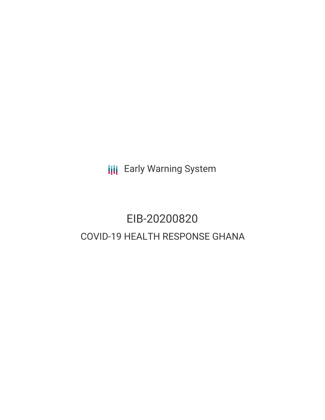**III** Early Warning System

# EIB-20200820 COVID-19 HEALTH RESPONSE GHANA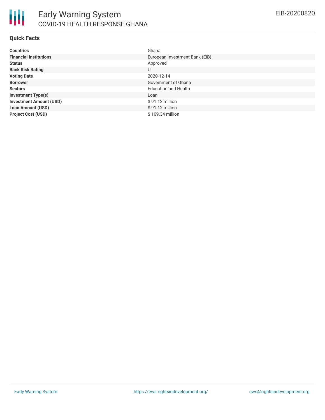

#### **Quick Facts**

| <b>Countries</b>               | Ghana                          |
|--------------------------------|--------------------------------|
| <b>Financial Institutions</b>  | European Investment Bank (EIB) |
| <b>Status</b>                  | Approved                       |
| <b>Bank Risk Rating</b>        | U                              |
| <b>Voting Date</b>             | 2020-12-14                     |
| <b>Borrower</b>                | Government of Ghana            |
| <b>Sectors</b>                 | <b>Education and Health</b>    |
| <b>Investment Type(s)</b>      | Loan                           |
| <b>Investment Amount (USD)</b> | $$91.12$ million               |
| <b>Loan Amount (USD)</b>       | $$91.12$ million               |
| <b>Project Cost (USD)</b>      | $$109.34$ million              |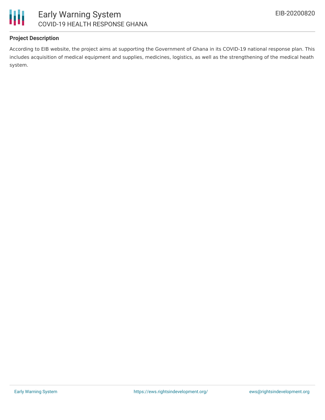



### **Project Description**

According to EIB website, the project aims at supporting the Government of Ghana in its COVID-19 national response plan. This includes acquisition of medical equipment and supplies, medicines, logistics, as well as the strengthening of the medical heath system.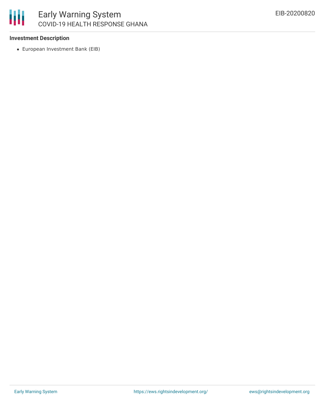

#### **Investment Description**

European Investment Bank (EIB)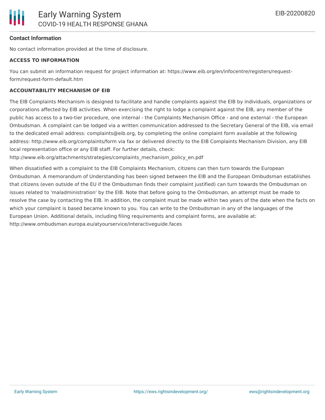#### **Contact Information**

No contact information provided at the time of disclosure.

#### **ACCESS TO INFORMATION**

You can submit an information request for project information at: https://www.eib.org/en/infocentre/registers/requestform/request-form-default.htm

#### **ACCOUNTABILITY MECHANISM OF EIB**

The EIB Complaints Mechanism is designed to facilitate and handle complaints against the EIB by individuals, organizations or corporations affected by EIB activities. When exercising the right to lodge a complaint against the EIB, any member of the public has access to a two-tier procedure, one internal - the Complaints Mechanism Office - and one external - the European Ombudsman. A complaint can be lodged via a written communication addressed to the Secretary General of the EIB, via email to the dedicated email address: complaints@eib.org, by completing the online complaint form available at the following address: http://www.eib.org/complaints/form via fax or delivered directly to the EIB Complaints Mechanism Division, any EIB local representation office or any EIB staff. For further details, check:

http://www.eib.org/attachments/strategies/complaints\_mechanism\_policy\_en.pdf

When dissatisfied with a complaint to the EIB Complaints Mechanism, citizens can then turn towards the European Ombudsman. A memorandum of Understanding has been signed between the EIB and the European Ombudsman establishes that citizens (even outside of the EU if the Ombudsman finds their complaint justified) can turn towards the Ombudsman on issues related to 'maladministration' by the EIB. Note that before going to the Ombudsman, an attempt must be made to resolve the case by contacting the EIB. In addition, the complaint must be made within two years of the date when the facts on which your complaint is based became known to you. You can write to the Ombudsman in any of the languages of the European Union. Additional details, including filing requirements and complaint forms, are available at: http://www.ombudsman.europa.eu/atyourservice/interactiveguide.faces